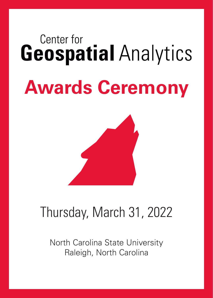# Center for **Geospatial Analytics Awards Ceremony**



## Thursday, March 31, 2022

North Carolina State University Raleigh, North Carolina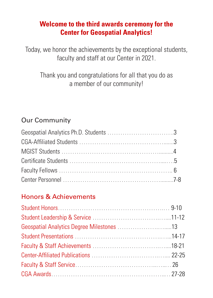#### **Welcome to the third awards ceremony for the Center for Geospatial Analytics!**

Today, we honor the achievements by the exceptional students, faculty and staff at our Center in 2021.

### Thank you and congratulations for all that you do as a member of our community!

### Our Community

### Honors & Achievements

| Geospatial Analytics Degree Milestones 13 |  |
|-------------------------------------------|--|
|                                           |  |
|                                           |  |
|                                           |  |
|                                           |  |
|                                           |  |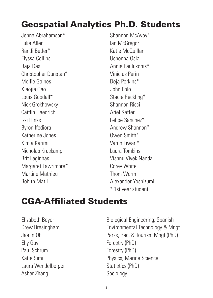## Geospatial Analytics Ph.D. Students

Jenna Abrahamson\* Luke Allen Randi Butler\* Elyssa Collins Raja Das Christopher Dunstan\* Mollie Gaines Xiaojie Gao Louis Goodall\* Nick Grokhowsky Caitlin Haedrich Izzi Hinks Byron Ifediora Katherine Jones Kimia Karimi Nicholas Kruskamp Brit Laginhas Margaret Lawrimore\* Martine Mathieu Rohith Matli

Shannon McAvoy\* Ian McGregor Katie McQuillan Uchenna Osia Annie Paulukonis\* Vinicius Perin Deja Perkins\* John Polo Stacie Reckling\* Shannon Ricci Ariel Saffer Felipe Sanchez\* Andrew Shannon\* Owen Smith\* Varun Tiwari\* Laura Tomkins Vishnu Vivek Nanda Corey White Thom Worm Alexander Yoshizumi \* 1st year student

### CGA-Affiliated Students

Elly Gay Forestry (PhD) Paul Schrum Forestry (PhD) Laura Wendelberger Statistics (PhD) Asher Zhang Sociology

Elizabeth Beyer Biological Engineering; Spanish Drew Bresingham Environmental Technology & Mngt Jae In Oh Parks, Rec, & Tourism Mngt (PhD) Katie Simi **New Science** Physics; Marine Science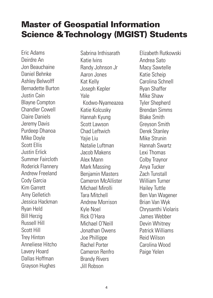### Master of Geospatial Information Science & Technology (MGIST) Students

Eric Adams Deirdre An Jon Beauchaine Daniel Behnke Ashley Belwolff Bernadette Burton Justin Cain Blayne Compton Chandler Cowell Claire Daniels Jeremy Davis Purdeep Dhanoa Mike Doyle Scott Ellis Justin Erlick Summer Faircloth Roderick Flannery Andrew Freeland Cody Garcia Kim Garrett Amy Gelletich Jessica Hackman Ryan Held Bill Herzig Russell Hill Scott Hill Trey Hinton Anneliese Hitcho Lavery Hoard Dallas Hoffman Grayson Hughes

Sabrina Inthisarath Katie Ivins Randy Johnson Jr Aaron Jones Kat Kelly Joseph Kepler Yale Kodwo-Nyameazea Katie Kolcusky Hannah Kyung Scott Lawson Chad Leftwich Yajie Liu Natalie Luftman Jacob Makens Alex Mann Mark Massing Benjamin Masters Cameron McAllister Michael Mirolli Tara Mitchell Andrew Morrison Kyle Noel Rick O'Hara Michael O'Neill Jonathan Owens Joe Phillippe Rachel Porter Cameron Renfro Brandy Rivers Jill Robson

Elizabeth Rutkowski Andrea Sato Macy Sawtelle Katie Scheip Carolina Schnell Ryan Shaffer Mike Shaw Tyler Shepherd Brendan Simms Blake Smith Greyson Smith Derek Stanley Mike Strunin Hannah Swartz Lexi Thomas Colby Traynor Anya Tucker Zach Tunstall William Turner Hailey Tuttle Ben Van Wagener Brian Van Wyk Chrysanthi Violaris James Webber Devin Whitney Patrick Williams Reid Wilson Carolina Wood Paige Yelen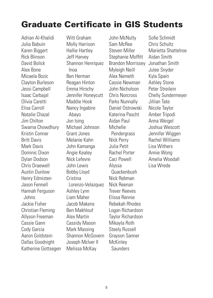### Graduate Certificate in GIS Students

Adrian Al-Khalidi Julia Babuin Karen Biggert Rick Blinson David Bolick Alex Bone Micaela Bozic Clayton Burleson Jessi Campbell Isaac Carbajal Olivia Caretti Elisa Carroll Natalie Chazal Jim Chilton Swarna Chowdhury Kristin Conner Britt Davis Mark Davis Dominic Dixon Dylan Dodson Chris Draewell Austin Dunlow Henry Edmisten Jason Fennell Hannah Ferguson Johns Jackie Fisher Christian Fleming Allyson Freeman Cassie Gann Cody Garcia Aaron Goldstein Dallas Goodnight Katherine Gottsegen Witt Graham Molly Harrison Hallie Hartley Jeff Harvey Shannon Henriquez Inoa Ben Herman Reagan Hinton Emma Hirschy Jennifer Honeycutt Maddie Hook Nancy Ingabire Abayo Jon Ising Michael Johnson Grant Jones Melanie Kahn John Kamanga Angie Kealey Nick Lefevre John Lewis Bobby Lloyd **Cristina**  Lorenzo-Velazquez Ashley Lynn Liam Maher Jacob Makens Ben Makhlouf Alex Martin Cassidy Mason Mark Massing Shannon McGovern Joseph McIver II Melissa McKay

John McNulty Sam McRee Steven Miller Stephanie Moffitt Brandon Morrissey Myleigh Neill Alex Nemeth Cassie Newman John Nicholson Chris Norcross Parks Nunnally Daniel Ostrowski Katerina Pascht Aidan Paul Michelle **Pendergrass** Nick Perry Julia Petit Rachel Porter Caci Powell Alyssa Quackenbush Nick Rebman Nick Reenan Trever Reeves Elissa Rennie Rebekah Rhodes Logan Richardson Taylor Richardson Mikayla Roth Steely Russell Grayson Sanner **McKinley Saunders** 

Sofie Schmidt Chris Schultz Marietta Shattelroe Aidan Smith Jonathan Smith Julee Snyder Kyla Spain Ashley Stone Peter Streilein Chelly Sundermeyer Jillian Tate Nicole Taylor Amber Tripodi Anna Weigel Joshua Wescott Jennifer Wiggen Rachel Williams Lisa Withers Annie Wong Amelia Woodall Lisa Wrede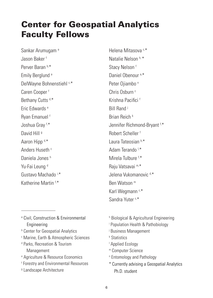### Center for Geospatial Analytics Faculty Fellows

Sankar Arumugam<sup>a</sup> Jason Baker f Perver Baran b,\* Emily Berglund<sup>a</sup> DelWayne Bohnenstiehl c,\* Caren Cooper f Bethany Cutts<sup>d,\*</sup> Eric Edwards e Ryan Emanuel f Joshua Gray f, \* David Hill<sup>g</sup> Aaron Hipp d,\* Anders Huseth c Daniela Jones h Yu-Fai Leung<sup>d</sup> Gustavo Machado i, \* Katherine Martin f.\*

- a Civil, Construction & Environmental **Engineering**
- b Center for Geospatial Analytics
- c Marine, Earth & Atmospheric Sciences
- d Parks, Recreation & Tourism Management
- e Agriculture & Resource Economics
- f Forestry and Environmental Resources
- <sup>9</sup> Landscape Architecture

Helena Mitasova c,\* Natalie Nelson h, \* Stacy Nelson<sup>f</sup> Daniel Obenour<sup>a,\*</sup> Peter Oiiambo<sup>n</sup> Chris Oshurn<sup>c</sup> Krishna Pacifici f Bill Rand j Brian Reich k Jennifer Richmond-Bryant f, \* Robert Scheller f Laura Tateosian b,\* Adam Terando I,\* Mirela Tulbure<sup>f,\*</sup> Raju Vatsavai m,\* Jelena Vukomanovic d,\* Ben Watson m Karl Wegmann<sup>c,\*</sup> Sandra Yuter c,\*

- h Biological & Agricultural Engineering
- i Population Health & Pathobiology
- j Business Management
- k Statistics
- l Applied Ecology
- m Computer Science
- n Entomology and Pathology
- \* Currently advising a Geospatial Analytics Ph.D. student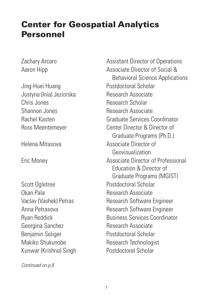### Center for Geospatial Analytics Personnel

Jing-Huei Huang **Postdoctoral Scholar** Justyna (Inia) Jeziorska Research Associate Chris Jones **Research Scholar** Shannon Jones Research Associate

Scott Ogletree **Postdoctoral Scholar** Okan Pala **Research Associate** Georgina Sanchez **Research Associate** Benjamin Seliger **Postdoctoral Scholar** Makiko Shukunobe Research Technologist Kunwar (Krishna) Singh Postdoctoral Scholar

*Continued on p.8*

Zachary Arcaro **Assistant Director of Operations** Aaron Hipp **Associate Director of Social &**  Behavioral Science Applications Rachel Kasten Graduate Services Coordinator Ross Meentemeyer **Center Director & Director of**  Graduate Programs (Ph.D.) Helena Mitasova Associate Director of Geovisualization Eric Money Associate Director of Professional Education & Director of Graduate Programs (MGIST) Vaclav (Vashek) Petras Research Software Engineer Anna Petrasova **Research Software Engineer** Ryan Reddick **Business Services Coordinator**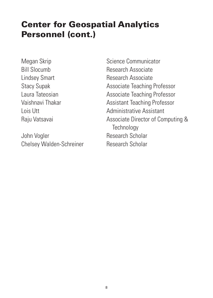### Center for Geospatial Analytics Personnel (cont.)

John Vogler **Research Scholar** Chelsey Walden-Schreiner Research Scholar

Megan Skrip Science Communicator Bill Slocumb Research Associate Lindsey Smart **Research Associate** Stacy Supak **Associate Teaching Professor** Laura Tateosian **Associate Teaching Professor** Vaishnavi Thakar **Assistant Teaching Professor** Lois Utt **Administrative Assistant** Raju Vatsavai **Associate Director of Computing & Technology**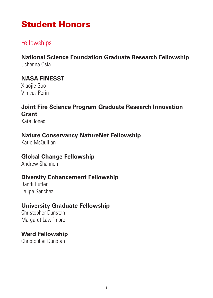### Student Honors

### **Fellowships**

#### **National Science Foundation Graduate Research Fellowship** Uchenna Osia

#### **NASA FINESST**

Xiaojie Gao Vinicus Perin

#### **Joint Fire Science Program Graduate Research Innovation Grant**

Kate Jones

#### **Nature Conservancy NatureNet Fellowship**

Katie McQuillan

#### **Global Change Fellowship**

Andrew Shannon

#### **Diversity Enhancement Fellowship**

Randi Butler Felipe Sanchez

#### **University Graduate Fellowship**

Christopher Dunstan Margaret Lawrimore

#### **Ward Fellowship**

Christopher Dunstan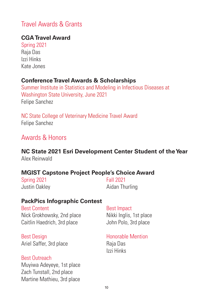### Travel Awards & Grants

#### **CGA Travel Award**

Spring 2021 Raja Das Izzi Hinks Kate Jones

#### **Conference Travel Awards & Scholarships**

Summer Institute in Statistics and Modeling in Infectious Diseases at Washington State University, June 2021 Felipe Sanchez

NC State College of Veterinary Medicine Travel Award Felipe Sanchez

#### Awards & Honors

#### **NC State 2021 Esri Development Center Student of the Year** Alex Reinwald

#### **MGIST Capstone Project People's Choice Award**

Spring 2021 Fall 2021

Justin Oakley **Aidan Thurling** 

#### **PackPics Infographic Contest**

Best Content and Best Impact Nick Grokhowsky, 2nd place Nikki Inglis, 1st place Caitlin Haedrich, 3rd place John Polo, 3rd place

Best Design **Honorable Mention** Ariel Saffer, 3rd place Raja Das

#### Best Outreach

Muyiwa Adeyeye, 1st place Zach Tunstall, 2nd place Martine Mathieu, 3rd place

Izzi Hinks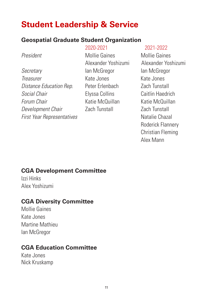### **Student Leadership & Service**

#### **Geospatial Graduate Student Organization**

**Secretary Ian McGregor Ian McGregor** *Treasurer* Kate Jones Kate Jones *Distance Education Rep.* Peter Erlenbach **Zach Tunstall Social Chair Elyssa Collins Caitlin Haedrich** *Forum Chair* **Katie McQuillan** Katie McQuillan *Development Chair* Zach Tunstall Zach Tunstall **First Year Representatives Natalie Chazal** 

*President* Mollie Gaines Mollie Gaines Alexander Yoshizumi Alexander Yoshizumi

#### 2020-2021 2021-2022

 Roderick Flannery Christian Fleming Alex Mann

#### **CGA Development Committee**

Izzi Hinks Alex Yoshizumi

#### **CGA Diversity Committee**

Mollie Gaines Kate Jones Martine Mathieu Ian McGregor

#### **CGA Education Committee**

Kate Jones Nick Kruskamp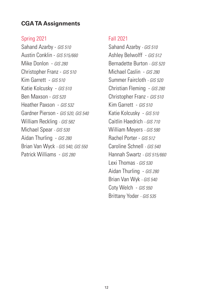#### **CGA TA Assignments**

#### Spring 2021

Sahand Azarby - *GIS 510* Austin Conklin - *GIS 515/660* Mike Donlon - *GIS 280* Christopher Franz - *GIS 510* Kim Garrett - *GIS 510* Katie Kolcusky - *GIS 510* Ben Maxson - *GIS 520* Heather Paxson - *GIS 532* Gardner Pierson - *GIS 520, GIS 540* William Reckling *- GIS 582* Michael Spear *- GIS 530* Aidan Thurling - *GIS 280* Brian Van Wyck *- GIS 540, GIS 550* Patrick Williams - *GIS 280*

#### Fall 2021

Sahand Azarby *- GIS 510* Ashley Belwolff - *GIS 512* Bernadette Burton *- GIS 520* Michael Caslin - *GIS 280* Summer Faircloth *- GIS 520* Christian Fleming - *GIS 280* Christopher Franz - *GIS 510* Kim Garrett - *GIS 510* Katie Kolcusky - *GIS 510* Caitlin Haedrich *- GIS 710* William Meyers *- GIS 590* Rachel Porter - *GIS 512* Caroline Schnell *- GIS 540* Hannah Swartz *- GIS 515/660* Lexi Thomas *- GIS 530* Aidan Thurling - *GIS 280* Brian Van Wyk *- GIS 540* Coty Welch - *GIS 550* Brittany Yoder *- GIS 535*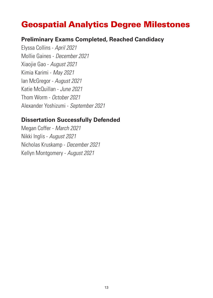### Geospatial Analytics Degree Milestones

#### **Preliminary Exams Completed, Reached Candidacy**

Elyssa Collins - *April 2021* Mollie Gaines - *December 2021* Xiaojie Gao - *August 2021* Kimia Karimi - *May 2021* Ian McGregor - *August 2021* Katie McQuillan - *June 2021* Thom Worm - *October 2021* Alexander Yoshizumi - *September 2021*

#### **Dissertation Successfully Defended**

Megan Coffer - *March 2021* Nikki Inglis - *August 2021* Nicholas Kruskamp - *December 2021* Kellyn Montgomery - *August 2021*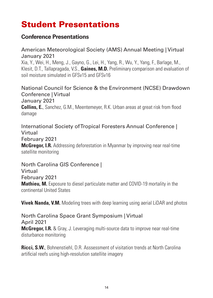## Student Presentations

#### **Conference Presentations**

#### American Meteorological Society (AMS) Annual Meeting | Virtual January 2021

Xia, Y., Wei, H., Meng, J., Gayno, G., Lei, H., Yang, R., Wu, Y., Yang, F., Barlage, M., Klesit, D.T., Tallapragada, V.S., **Gaines, M.D.** Preliminary comparison and evaluation of soil moisture simulated in GFSv15 and GFSv16

National Council for Science & the Environment (NCSE) Drawdown Conference | Virtual January 2021 **Collins, E.**, Sanchez, G.M., Meentemeyer, R.K. Urban areas at great risk from flood damage

International Society of Tropical Foresters Annual Conference | Virtual February 2021 **McGregor, I.R.** Addressing deforestation in Myanmar by improving near real-time satellite monitoring

North Carolina GIS Conference | Virtual February 2021 **Mathieu, M.** Exposure to diesel particulate matter and COVID-19 mortality in the continental United States

**Vivek Nanda, V.M.** Modeling trees with deep learning using aerial LiDAR and photos

North Carolina Space Grant Symposium | Virtual April 2021 **McGregor, I.R.** & Gray, J. Leveraging multi-source data to improve near real-time disturbance monitoring

**Ricci, S.W.**, Bohnenstiehl, D.R. Asssessment of visitation trends at North Carolina artificial reefs using high-resolution satellite imagery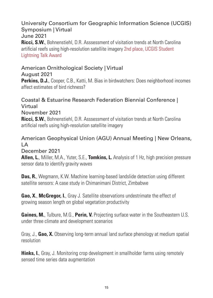#### University Consortium for Geographic Information Science (UCGIS) Symposium | Virtual June 2021 **Ricci, S.W.**, Bohnenstiehl, D.R. Asssessment of visitation trends at North Carolina artificial reefs using high-resolution satellite imagery 2nd place, UCGIS Student Lightning Talk Award

#### American Ornithological Society | Virtual

August 2021 **Perkins, D.J.**, Cooper, C.B., Katti, M. Bias in birdwatchers: Does neighborhood incomes affect estimates of bird richness?

#### Coastal & Estuarine Research Federation Biennial Conference | Virtual November 2021 **Ricci, S.W.**, Bohnenstiehl, D.R. Asssessment of visitation trends at North Carolina artificial reefs using high-resolution satellite imagery

#### American Geophysical Union (AGU) Annual Meeting | New Orleans, LA

December 2021

**Allen, L.**, Miller, M.A., Yuter, S.E., **Tomkins, L.** Analysis of 1 Hz, high precision pressure sensor data to identify gravity waves

**Das, R.**, Wegmann, K.W. Machine learning-based landslide detection using different satellite sensors: A case study in Chimanimani District, Zimbabwe

**Gao, X.**, **McGregor, I.**, Gray J. Satellite observations undestrimate the effect of growing season length on global vegetation productivity

**Gaines, M.**, Tulbure, M.G., **Perin, V.** Projecting surface water in the Southeastern U.S. under three climate and development scenarios

Gray, J., **Gao, X.** Observing long-term annual land surface phenology at medium spatial resolution

**Hinks, I.**, Gray, J. Monitoring crop development in smallholder farms using remotely sensed time series data augmentation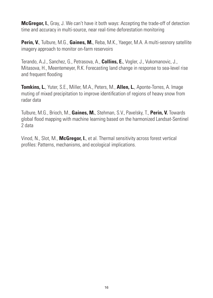**McGregor, I.**, Gray, J. We can't have it both ways: Accepting the trade-off of detection time and accuracy in multi-source, near real-time deforestation monitoring

**Perin, V.**, Tulbure, M.G., **Gaines, M.**, Reba, M.K., Yaeger, M.A. A multi-sesnory satellite imagery approach to monitor on-farm reservoirs

Terando, A.J., Sanchez, G., Petrasova, A., **Collins, E.**, Vogler, J., Vukomanovic, J., Mitasova, H., Meentemeyer, R.K. Forecasting land change in response to sea-level rise and frequent flooding

**Tomkins, L.**, Yuter, S.E., Miller, M.A., Peters, M., **Allen, L.**, Aponte-Torres, A. Image muting of mixed precipitation to improve identification of regions of heavy snow from radar data

Tulbure, M.G., Brioch, M., **Gaines, M.**, Stehman, S.V., Pavelsky, T., **Perin, V.** Towards global flood mapping with machine learning based on the harmonized Landsat-Sentinel 2 data

Vinod, N., Slot, M., **McGregor, I.**, et al. Thermal sensitivity across forest vertical profiles: Patterns, mechanisms, and ecological implications.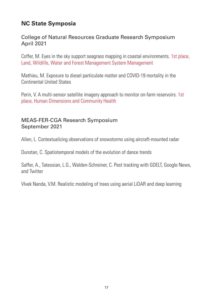#### **NC State Symposia**

#### College of Natural Resources Graduate Research Symposium April 2021

Coffer, M. Eyes in the sky support seagrass mapping in coastal environments. 1st place, Land, Wildlife, Water and Forest Management System Management

Mathieu, M. Exposure to diesel particulate matter and COVID-19 mortality in the Continental United States

Perin, V. A multi-sensor satellite imagery approach to monitor on-farm reservoirs. 1st place, Human Dimensions and Community Health

#### MEAS-FER-CGA Research Symposium September 2021

Allen, L. Contextualizing observations of snowstorms using aircraft-mounted radar

Dunstan, C. Spatiotemporal models of the evolution of dance trends

Saffer, A., Tateosian, L.G., Walden-Schreiner, C. Pest tracking with GDELT, Google News, and Twitter

VIvek Nanda, V.M. Realistic modeling of trees using aerial LiDAR and deep learning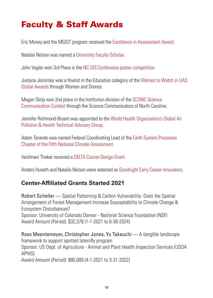### Faculty & Staff Awards

Eric Money and the MGIST program received the Excellence in Assessment Award.

Natalie Nelson was named a University Faculty Scholar.

John Vogler won 3rd Place in the NC GIS Conference poster competition.

Justyna Jeziorska was a finalist in the Education category of the Women to Watch in UAS Global Awards through Women and Drones.

Megan Skrip won 2nd place in the Institution division of the SCONC Science Communication Contest through the Science Communicators of North Carolina.

Jennifer Richmond-Bryant was appointed to the World Health Organization's Global Air Pollution & Health Technical Advisory Group.

Adam Terando was named Federal Coordinating Lead of the Earth System Processes Chapter of the Fifth National Climate Assessment.

Vaishnavi Thakar received a DELTA Course Design Grant.

Anders Huseth and Natalie Nelson were selected as Goodnight Early Career Innovators.

#### **Center-Affiliated Grants Started 2021**

Robert Scheller –– Spatial Patterning & Carbon Vulnerability: Does the Spatial Arrangement of Forest Management Increase Susceptability to Climate Change & Ecosystem Disturbances? Sponsor: University of Colorado Denver - National Science Foundation (NSF) Award Amount (Period): \$32,376 (1-1-2021 to 6-30-2024)

Ross Meentemeyer, Christopher Jones, Yu Takeuchi — A tangible landscape framework to support spotted laternfly program Sponsor: US Dept. of Agriculture - Animal and Plant Health Inspection Services (USDA APHIS) Award Amount (Period): \$80,000 (4-1-2021 to 3-31-2022)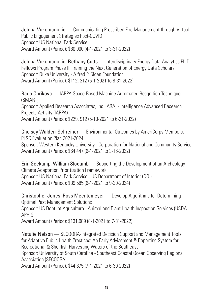Jelena Vukomanovic -- Communicating Prescribed Fire Management through Virtual Public Engagement Strategies Post-COVID Sponsor: US National Park Service Award Amount (Period): \$80,000 (4-1-2021 to 3-31-2022)

Jelena Vukomanovic, Bethany Cutts –– Interdisciplinary Energy Data Analytics Ph.D. Fellows Program Phase II: Training the Next Generation of Energy Data Scholars Sponsor: Duke University - Alfred P. Sloan Foundation Award Amount (Period): \$112, 212 (5-1-2021 to 8-31-2022)

Rada Chrikova –– IARPA Space-Based Machine Automated Recgnition Technique (SMART) Sponsor: Applied Research Associates, Inc. (ARA) - Intelligence Advanced Research Projects Activity (IARPA) Award Amount (Period): \$229, 912 (5-10-2021 to 6-21-2022)

Chelsey Walden-Schreiner — Environmental Outcomes by AmeriCorps Members: PLSC Evaluation Plan 2021-2024 Sponsor: Western Kentucky University - Corporation for National and Community Service Award Amount (Period): \$64,447 (6-1-2021 to 3-16-2022)

Erin Seekamp, William Slocumb — Supporting the Development of an Archeology Climate Adaptation Prioritization Framework Sponsor: US National Park Service - US Department of Interior (DOI) Award Amount (Period): \$89,585 (6-1-2021 to 9-30-2024)

Christopher Jones, Ross Meentemeyer –– Develop Algorithms for Determining Optimal Pest Management Solutions Sponsor: US Dept. of Agriculture - Animal and Plant Health Inspection Services (USDA APHIS) Award Amount (Period): \$131,989 (8-1-2021 to 7-31-2022)

Natalie Nelson –– SECOORA-Integrated Decision Support and Management Tools for Adaptive Public Health Practices: An Early Advisement & Reporting System for Recreational & Shellfish Harvesting Waters of the Southeast Sponsor: University of South Carolina - Southeast Coastal Ocean Observing Regional Association (SECOORA) Award Amount (Period): \$44,875 (7-1-2021 to 6-30-2022)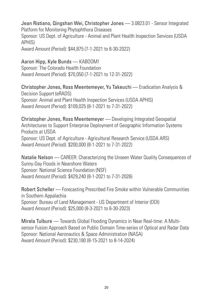Jean Ristiano, Qingshan Wei, Christopher Jones - 3.0823.01 - Sensor Integrated Platform for Monitoring Phytophthora Diseases Sponsor: US Dept. of Agriculture - Animal and Plant Health Inspection Services (USDA APHIS) Award Amount (Period): \$44,875 (7-1-2021 to 6-30-2022)

Aaron Hipp, Kyle Bunds –– KABOOM! Sponsor: The Colorado Health Foundation Award Amount (Period): \$70,050 (7-1-2021 to 12-31-2022)

Christopher Jones, Ross Meentemeyer, Yu Takeuchi –– Eradication Analysis & Decision Support (eRADS) Sponsor: Animal and Plant Health Inspection Services (USDA APHIS) Award Amount (Period): \$109,025 (8-1-2021 to 7-31-2022)

Christopher Jones, Ross Meentemeyer –– Developing Integrated Geospatial Architectures to Support Enterprise Deployment of Geographic Information Systems Products at USDA Sponsor: US Dept. of Agriculture - Agricultural Research Service (USDA ARS) Award Amount (Period): \$200,000 (8-1-2021 to 7-31-2022)

Natalie Nelson –– CAREER: Characterizing the Unseen Water Quality Consequences of Sunny-Day Floods in Nearshore Waters Sponsor: National Science Foundation (NSF) Award Amount (Period): \$429,240 (8-1-2021 to 7-31-2026)

Robert Scheller –– Forecasting Prescribed Fire Smoke within Vulnerable Communities in Southern Appalachia Sponsor: Bureau of Land Management - US Department of Interior (DOI) Award Amount (Period): \$25,000 (8-3-2021 to 6-30-2023)

Mirela Tulbure –– Towards Global Flooding Dynamics in Near Real-time: A Multisensor Fusion Approach Based on Public Domain Time-series of Optical and Radar Data Sponsor: National Aeronautics & Space Administration (NASA) Award Amount (Period): \$230,180 (8-15-2021 to 8-14-2024)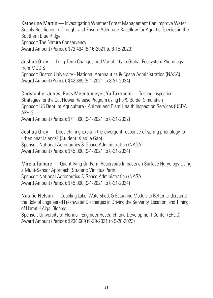Katherine Martin –– Investigating Whether Forest Management Can Improve Water Supply Resilience to Drought and Ensure Adequate Baseflow for Aquatic Species in the Southern Blue Ridge Sponsor: The Nature Conservancy Award Amount (Period): \$72,494 (8-16-2021 to 8-15-2023)

Joshua Gray — Long-Term Changes and Variability in Global Ecosystem Phenology from MODIS Sponsor: Boston University - National Aeronautics & Space Administration (NASA)

Award Amount (Period): \$42,385 (9-1-2021 to 8-31-2024)

Christopher Jones, Ross Meentemeyer, Yu Takeuchi –– Testing Inspection Strategies for the Cut Flower Release Program using PoPS Border Simulation Sponsor: US Dept. of Agriculture - Animal and Plant Health Inspection Services (USDA APHIS) Award Amount (Period): \$41,000 (9-1-2021 to 8-31-2022)

Joshua Gray –– Does chilling explain the divergent response of spring phenology to urban heat islands? (Student: Xiaojie Gao) Sponsor: National Aeronautics & Space Administration (NASA) Award Amount (Period): \$45,000 (9-1-2021 to 8-31-2024)

Mirela Tulbure –– Quantifying On-Farm Reservoirs Impacts on Surface Hdryology Using a Multi-Sensor Approach (Student: Vinicius Perin) Sponsor: National Aeronautics & Space Administration (NASA) Award Amount (Period): \$45,000 (9-1-2021 to 8-31-2024)

Natalie Nelson –– Coupling Lake, Watershed, & Estuarine Models to Better Understand the Role of Engineered Freshwater Discharges in Driving the Serverity, Location, and Timing of Harmful Algal Blooms Sponsor: University of Florida - Engineer Research and Development Center (ERDC)

Award Amount (Period): \$234,609 (9-29-2021 to 9-28-2023)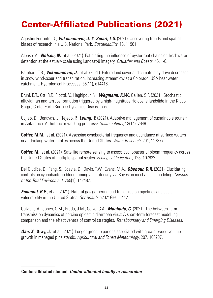## Center-Affiliated Publications (2021)

Agostini Ferrante, D., *Vukomanovic, J.*, & *Smart, L.S.* (2021). Uncovering trends and spatial biases of research in a U.S. National Park. *Sustainability*, 13, 11961

Alonso, A., *Nelson, N.*, et al. (2021). Estimating the influence of oyster reef chains on freshwater detention at the estuary scale using Landsat-8 imagery. *Estuaries and Coasts*, 45, 1-6.

Barnhart, T.B., *Vukomanovic, J.*, et al. (2021). Future land cover and climate may drive decreases in snow wind-scour and transpiration, increasing streamflow at a Colorado, USA headwater catchment. Hydrological Processes, 35(11), e14416.

Bruni, E.T., Ott, R.F., Picotti, V., Haghipour, N., *Wegmann, K.W.*, Gallen, S.F. (2021). Stochastic alluvial fan and terrace formation triggered by a high-magnitude Holocene landslide in the Klado Gorge, Crete. Earth Surface Dynamics Discussions

Cajiao, D., Benayas, J., Tejedo, P., *Leung, Y.* (2021). Adaptive management of sustainable tourism in Antarctica: A rhetoric or working progress? *Sustainability*, 13(14): 7649.

**Coffer, M.M.**, et al. (2021). Assessing cynobacterial frequency and abundance at surface waters near drinking water intakes across the United States. *Water Research*, 201, 117377.

**Coffer, M.**, et al. (2021). Satellite remote sensing to assess cyanobacterial bloom frequency across the United States at multiple spatial scales. *Ecological Indicators*, 128: 107822.

Del Giudice, D., Fang, S., Scavia, D., Davis, T.W., Evans, M.A., *Obenour, D.R.* (2021). Elucidating controls on cyanobacteria bloom timing and intensity via Bayesian mechanistic modeling. *Science of the Total Environment*, 755(1): 142487.

*Emanuel, R.E.,* et al. (2021). Natural gas gathering and transmission pipelines and social vulnerability in the United States. *GeoHealth*, e2021GH000442.

Galvis, J.A., Jones, C.M., Prada, J.M., Corzo, C.A., *Machado, G.* (2021). The between-farm transmission dynamics of porcine epidemic diarrhoea virus: A short-term forecast modelling comparison and the effectiveness of control strategies. *Transboundary and Emerging Diseases*.

*Gao, X.***, Gray, J.**, et al. (2021). Longer greenup periods associated with greater wood volume growth in managed pine stands. *Agricultural and Forest Meteorology*, 297, 108237.

**Center-affiliated student**; *Center-affiliated faculty or researcher*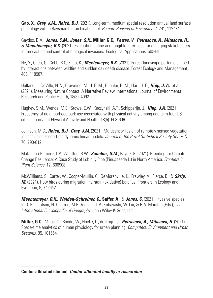**Gao, X.**, *Gray, J.M.*, *Reich, B.J.* (2021). Long-term, medium spatial resolution annual land surface phenology with a Bayseian hierarchical model. *Remote Sensing of Environment*, 261, 112484.

Gaydos, D.A., *Jones, C.M.*, *Jones, S.K.*, **Millar, G.C.**, *Petras, V*., *Petrasova, A*., *Mitasova, H.*, & *Meentemeyer, R.K.* (2021). Evaluating online and tangible interfaces for engaging stakeholders in forecasting and control of biological invasions. Ecological Applications, e02446.

He, Y., Chen, G., Cobb, R.C, Zhao, K., *Meetemeyer, R.K.* (2021). Forest landscape patterns shaped by interactions between wildfire and sudden oak death disease. Forest Ecology and Management, 486, 118987.

Holland, I., DeVille, N. V., Browning, M. H. E. M., Buehler, R. M., Hart, J. E., *Hipp, J. A.*, et al. (2021). Measuring Nature Contact: A Narrative Review. International Journal of Environmental Research and Public Health, 18(8), 4092.

Hughey, S.M., Wende, M.E., Stowe, E.W., Kaczynski, A.T., Schipperijn, J., *Hipp, J.A.* (2021). Frequency of neighborhood park use associated with physical activity among adults in four US cities. Journal of Physical Activity and Health, 18(5): 603-609.

Johnson, M.C., *Reich, B.J.*, *Gray, J.M.* (2021). Multisensor fusion of remotely sensed vegetation indices using space-time dynamic linear models. *Journal of the Royal Statistical Society Series C*, 70, 793-812.

Matallana-Ramirez, L.P., Whetten, R.W., *Sanchez, G.M*., Payn K.G. (2021). Breeding for Climate Change Resilience: A Case Study of Loblolly Pine (Pinus taeda L.) in North America. *Frontiers in Plant Science*, 12, 606908.

McWilliams, S., Carter, W., Cooper-Mullin, C., DeMoranville, K., Frawley, A., Pierce, B., & *Skrip, M.* (2021). How birds during migration maintain (oxidative) balance. Frontiers in Ecology and Evolution, 9, 742642.

*Meentemeyer, R.K.*, *Walden-Schreiner, C.*, **Saffer, A.**, & *Jones, C.* (2021). Invasive species. In D. Richardson, N. Castree, M.F. Goodchild, A. Kobayashi, W. Liu, & R.A. Marston (Eds.), T*he International Encyclopedia of Geography*. John Wiley & Sons, Ltd.

**Millar, G.C.**, Mitas, O., Boode, W., Hoeke, L., de Krujif, J., *Petrasova, A.*, *Mitasova, H.* (2021). Space-time analytics of human physiology for urban planning. *Computers, Environment and Urban Systems*, 85, 101554.

**Center-affiliated student**; *Center-affiliated faculty or researcher*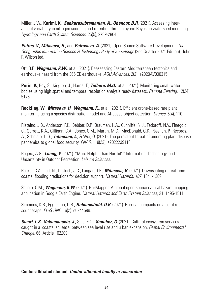Miller, J.W., **Karimi, K.**, *Sankarasubramanian, A.*, *Obenour, D.R.* (2021). Assessing interannual variability in nitrogen sourcing and retention through hybrid Bayesian watershed modeling. *Hydrology and Earth System Sciences*, 25(5), 2789-2804.

*Petras, V., Mitasova, H., and Petrasova, A. (2021). Open Source Software Development. The Geographic Information Science & Technology Body of Knowledge* (2nd Quarter 2021 Edition), John P. Wilson (ed.).

Ott, R.F., *Wegmann, K.W.*, et al. (2021). Reassessing Eastern Mediterranean tectonics and earthquake hazard from the 365 CE earthquake. *AGU Advances*, 2(2), e2020AV000315.

**Perin, V.**, Roy, S., Kington, J., Harris, T., *Tulbure, M.G.*, et al. (2021). Monitoring small water bodies using high spatial and temporal resolution analysis ready datasets. *Remote Sensing*, 12(24), 5176.

**Reckling, W.**, *Mitasova, H.*, *Wegmann, K.*, et al. (2021). Efficient drone-based rare plant monitoring using a species distribution model and AI-based object detection. *Drones*, 5(4), 110.

Ristaino, J.B., Anderson, P.K., Bebber, D.P., Brauman, K.A., Cunniffe, N.J., Fedoroff, N.V., Finegold, C., Garrett, K.A., Gilligan, C.A., Jones, C.M., Martin, M.D., MacDonald, G.K., Neenan, P., Records, A., Schmale, D.G., *Tateosian, L.*, & Wei, Q. (2021). The persistent threat of emerging plant disease pandemics to global food security. *PNAS*, 118(23), e2022239118.

Rogers, A.G., *Leung, Y.* (2021). "More Helpful than Hurtful"? Information, Technology, and Uncertainty in Outdoor Recreation. *Leisure Sciences*.

Rucker, C.A., Tull, N., Dietrich, J.C., Langan, T.E., *Mitasova, H.* (2021). Downscaling of real-time coastal flooding predictions for decision support. *Natural Hazards. 107,* 1341-1369*.*

Scheip, C.M., *Wegmann, K.W.* (2021). HazMapper: A global open-source natural hazard mapping application in Google Earth Engine. *Natural Hazards and Earth System Sciences*, 21: 1495-1511.

Simmons, K.R., Eggleston, D.B., *Bohnenstiehl, D.R.* (2021). Hurricane impacts on a coral reef soundscape. *PLoS ONE*, 16(2): e0244599.

*Smart, L.S.*, *Vukomanovic, J*., Sills, E.O., *Sanchez, G.* (2021). Cultural ecosystem services caught in a 'coastal squeeze' between sea level rise and urban expansion. *Global Environmental Change*, 66, Article 102209.

**Center-affiliated student**; *Center-affiliated faculty or researcher*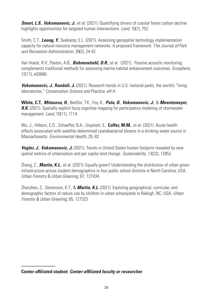*Smart, L.S.*, *Vukomanovic, J.*, et al. (2021). Quantifying drivers of coastal forest carbon decline highlights opportunities for targeted human interventions. *Land*, 10(7), 752.

Smith, C.T., *Leung, Y.*, Seekamp, E.L. (2021). Assessing geospatial technology implementation capacity for natural resource management networks: A proposed framework. T*he Journal of Park and Recreation Administration*, 39(2), 24-42.

Van Hoeck, R.V., Paxton, A.B., *Bohnenstiehl, D.R.*, et al. (2021). Passive acoustic monitoring complements traditional methods for assessing marine habitat enhancement outcomes. *Ecosphere*, 12(11), e03840.

*Vukomanovic, J.*, **Randall, J.** (2021). Research trends in U.S. national parks, the world's "living laboratories." *Conservation Science and Practice*, e414.

**White, C.T.**, *Mitasova, H.*, BenDor, T.K., Foy, K., *Pala, O.*, *Vukomanovic, J.*, & *Meentemeyer,*  **R.K.** (2021). Spatially explicit fuzzy cognitive mapping for participatory modeling of stormwater management. *Land*, 10(11), 1114.

Wu, J., Hilborn, E.D., Schaeffer, B.A., Urquhart, E., **Coffer, M.M.**, et al. (2021). Acute health effects associated with satellite-determined cyanobacterial blooms in a drinking water source in Massachusetts. *Environmental Health*, 20, 83

*Vogler, J., Vukomanovic, J.* (2021). Trends in United States human footprint revealed by new spatial metrics of urbanization and per capita land change. *Sustainability*, 13(22), 12852.

Zhang, Z., *Martin, K.L.*, et al. (2021). Equally green? Understanding the distribution of urban green infrastructure across student demographics in four public school districts in North Carolina, USA, *Urban Forestry & Urban Greening*, 67, 127434.

Zhenzhen, Z., Stevenson, K.T., & *Martin, K.L.* (2021). Exploring geographical, curricular, and demographic factors of nature use by children in urban schoolyards in Raleigh, NC, USA. *Urban Forestry & Urban Greening*, 65, 127323.

**Center-affiliated student**; *Center-affiliated faculty or researcher*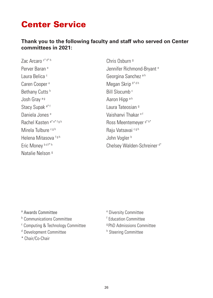### Center Service

#### **Thank you to the following faculty and staff who served on Center committees in 2021:**

Zac Arcaro c\* d\* h Chris Osburn g Laura Belica<sup>c</sup> Christian Communication Ceorgina Sanchez a h Caren Cooper e Megan Skrip b\* d h Bethany Cutts h Bill Slocumb c Josh Gray a g Aaron Hipp a h Stacy Supak a<sup>\* f</sup> and a set of the Laura Tateosian g Daniela Jones<sup>e</sup> Christian Maria Naishanyi Thakar <sup>e f</sup> Mirela Tulbure c g h Raju Vatsavai c g h Helena Mitasova f g h **John Vogler** b John Vogler b Natalie Nelson g

Perver Baran e George Stephen Herbert Bernard en Jennifer Richmond-Bryant e Rachel Kasten a\* e\* f g h Ross Meentemever g\* h\* Eric Money bdf\* h Chelsey Walden-Schreiner d\*

a Awards Committee entity of the state of the state of the state of the state of the state of the state of the

- <sup>b</sup> Communications Committee **f** Education Committee
- <sup>c</sup> Computing & Technology Committee **gets** 9PhD Admissions Committee
- <sup>d</sup> Development Committee h Steering Committee
- \* Chair/Co-Chair
- Diversity Committee
- 
- 
-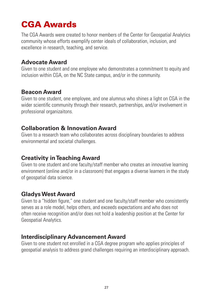## CGA Awards

The CGA Awards were created to honor members of the Center for Geospatial Analytics community whose efforts exemplify center ideals of collaboration, inclusion, and excellence in research, teaching, and service.

#### **Advocate Award**

Given to one student and one employee who demonstrates a commitment to equity and inclusion within CGA, on the NC State campus, and/or in the community.

#### **Beacon Award**

Given to one student, one employee, and one alumnus who shines a light on CGA in the wider scientific community through their research, partnerships, and/or involvement in professional organizaitons.

#### **Collaboration & Innovation Award**

Given to a research team who collaborates across disciplinary boundaries to address environmental and societal challenges.

#### **Creativity in Teaching Award**

Given to one student and one faculty/staff member who creates an innovative learning environment (online and/or in a classroom) that engages a diverse learners in the study of geospatial data science.

#### **Gladys West Award**

Given to a "hidden figure," one student and one faculty/staff member who consistently serves as a role model, helps others, and exceeds expectations and who does not often receive recognition and/or does not hold a leadership position at the Center for Geospatial Analytics.

#### **Interdisciplinary Advancement Award**

Given to one student not enrolled in a CGA degree program who applies principles of geospatial analysis to address grand challenges requiring an interdisciplinary approach.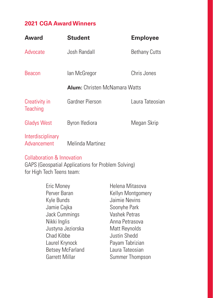#### **2021 CGA Award Winners**

| Award                            | <b>Student</b>                       | <b>Employee</b>      |
|----------------------------------|--------------------------------------|----------------------|
| Advocate                         | Josh Randall                         | <b>Bethany Cutts</b> |
| <b>Beacon</b>                    | lan McGregor                         | Chris Jones          |
|                                  | <b>Alum:</b> Christen McNamara Watts |                      |
| Creativity in<br>Teaching        | Gardner Pierson                      | Laura Tateosian      |
| <b>Gladys West</b>               | Byron Ifediora                       | Megan Skrip          |
| Interdisciplinary<br>Advancement | Melinda Martinez                     |                      |

#### Collaboration & Innovation

GAPS (Geospatial Applications for Problem Solving) for High Tech Teens team:

| Eric Money              | Helena Mitasova   |
|-------------------------|-------------------|
| Perver Baran            | Kellyn Montgomery |
| Kyle Bunds              | Jaimie Nevins     |
| Jamie Cajka             | Soonyhe Park      |
| Jack Cummings           | Vashek Petras     |
| Nikki Inglis            | Anna Petrasova    |
| Justyna Jeziorska       | Matt Reynolds     |
| Chad Kibbe              | Justin Shedd      |
| Laurel Krynock          | Payam Tabrizian   |
| <b>Betsey McFarland</b> | Laura Tateosian   |
| Garrett Millar          | Summer Thompson   |